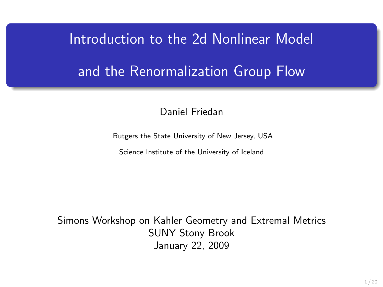# Introduction to the 2d Nonlinear Model and the Renormalization Group Flow

#### Daniel Friedan

Rutgers the State University of New Jersey, USA

Science Institute of the University of Iceland

Simons Workshop on Kahler Geometry and Extremal Metrics SUNY Stony Brook January 22, 2009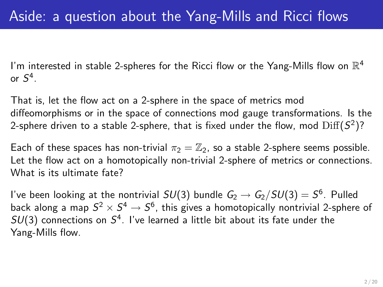I'm interested in stable 2-spheres for the Ricci flow or the Yang-Mills flow on  $\mathbb{R}^4$ or  $S^4$ .

That is, let the flow act on a 2-sphere in the space of metrics mod diffeomorphisms or in the space of connections mod gauge transformations. Is the 2-sphere driven to a stable 2-sphere, that is fixed under the flow, mod  $\mathrm{Diff}(S^2)?$ 

Each of these spaces has non-trivial  $\pi_2 = \mathbb{Z}_2$ , so a stable 2-sphere seems possible. Let the flow act on a homotopically non-trivial 2-sphere of metrics or connections. What is its ultimate fate?

I've been looking at the nontrivial  $SU(3)$  bundle  $G_2 \rightarrow G_2/SU(3) = S^6$ . Pulled back along a map  $S^2 \times S^4 \to S^6$ , this gives a homotopically nontrivial 2-sphere of  $SU(3)$  connections on  $S^4$ . I've learned a little bit about its fate under the Yang-Mills flow.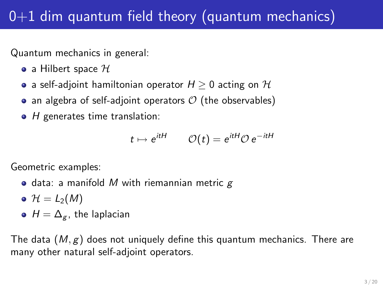# $0+1$  dim quantum field theory (quantum mechanics)

Quantum mechanics in general:

- a Hilbert space  $\mathcal H$
- a self-adjoint hamiltonian operator  $H > 0$  acting on  $H$
- an algebra of self-adjoint operators  $\mathcal O$  (the observables)
- $\bullet$  H generates time translation:

$$
t \mapsto e^{itH} \qquad \mathcal{O}(t) = e^{itH} \mathcal{O} e^{-itH}
$$

Geometric examples:

- $\bullet$  data: a manifold M with riemannian metric  $g$
- $\bullet$   $\mathcal{H} = L_2(M)$
- $H = \Delta_{g}$ , the laplacian

The data  $(M, g)$  does not uniquely define this quantum mechanics. There are many other natural self-adjoint operators.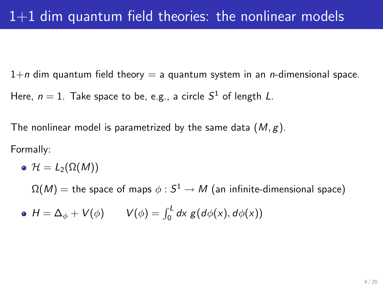$1+n$  dim quantum field theory = a quantum system in an *n*-dimensional space.

Here,  $n=1$ . Take space to be, e.g., a circle  $S^1$  of length L.

The nonlinear model is parametrized by the same data  $(M, g)$ .

Formally:

$$
\bullet \ \mathcal{H}=L_2(\Omega(M))
$$

 $\Omega(M)=$  the space of maps  $\phi: \mathcal{S}^1 \rightarrow M$  (an infinite-dimensional space)

 $H = \Delta_{\phi} + V(\phi)$   $V(\phi) = \int_0^L dx g(d\phi(x), d\phi(x))$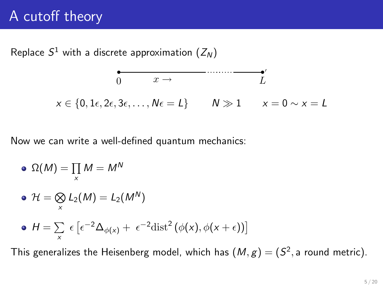# A cutoff theory

Replace  $S^1$  with a discrete approximation  $(Z_N)$ 

$$
\begin{array}{cccc}\n & & & \overbrace{\hspace{1cm}} & & & \overbrace{\hspace{1cm}} & & \overbrace{\hspace{1cm}} & & \overbrace{\hspace{1cm}} & & \overbrace{\hspace{1cm}} & & \overbrace{\hspace{1cm}} & & \overbrace{\hspace{1cm}} & & \overbrace{\hspace{1cm}} & & \overbrace{\hspace{1cm}} & & \overbrace{\hspace{1cm}} & & \overbrace{\hspace{1cm}} & & \overbrace{\hspace{1cm}} & & \overbrace{\hspace{1cm}} & & \overbrace{\hspace{1cm}} & & \overbrace{\hspace{1cm}} & & \overbrace{\hspace{1cm}} & & \overbrace{\hspace{1cm}} & & \overbrace{\hspace{1cm}} & & \overbrace{\hspace{1cm}} & & \overbrace{\hspace{1cm}} & & \overbrace{\hspace{1cm}} & & \overbrace{\hspace{1cm}} & & \overbrace{\hspace{1cm}} & & \overbrace{\hspace{1cm}} & & \overbrace{\hspace{1cm}} & & \overbrace{\hspace{1cm}} & & \overbrace{\hspace{1cm}} & & \overbrace{\hspace{1cm}} & & \overbrace{\hspace{1cm}} & & \overbrace{\hspace{1cm}} & & \overbrace{\hspace{1cm}} & & \overbrace{\hspace{1cm}} & & \overbrace{\hspace{1cm}} & & \overbrace{\hspace{1cm}} & & \overbrace{\hspace{1cm}} & & \overbrace{\hspace{1cm}} & & \overbrace{\hspace{1cm}} & & \overbrace{\hspace{1cm}} & & \overbrace{\hspace{1cm}} & & \overbrace{\hspace{1cm}} & & \overbrace{\hspace{1cm}} & & \overbrace{\hspace{1cm}} & & \overbrace{\hspace{1cm}} & & \overbrace{\hspace{1cm}} & & \overbrace{\hspace{1cm}} & & \overbrace{\hspace{1cm}} & & \overbrace{\hspace{1cm}} & & \overbrace{\hspace{1cm}} & & \overbrace{\hspace{1cm}} & & \overbrace{\hspace{1cm}} & & \overbrace{\hspace{1cm}} & & \overbrace{\hspace{1cm}} & & \overbrace{\hspace{1cm}} & & \overbrace{\hspace{1cm}} & & \overbrace{\hspace{1cm}} & & \overbrace{\hspace{1cm}} & & \overbrace{\hspace{1cm}} & & \overbrace{\hspace{1cm}} & & \overbrace{\hspace{1cm}} & & \overbrace{\hspace{1cm}} & & \overbrace{\hspace{1cm}} & & \overbrace{\hspace{1cm}} & & \overbrace{\
$$

Now we can write a well-defined quantum mechanics:

$$
\bullet\ \Omega(M)=\prod_{x}M=M^{N}
$$

$$
\bullet \ \mathcal{H} = \bigotimes_{x} L_2(M) = L_2(M^N)
$$

• 
$$
H = \sum_{x} \epsilon \left[ \epsilon^{-2} \Delta_{\phi(x)} + \epsilon^{-2} \text{dist}^2 \left( \phi(x), \phi(x + \epsilon) \right) \right]
$$

This generalizes the Heisenberg model, which has  $(M,g) = (S^2, \text{a round metric}).$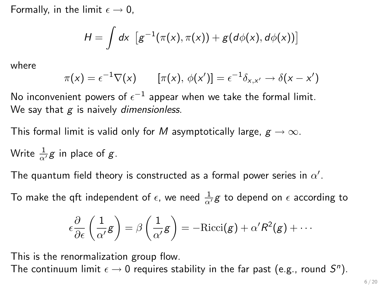Formally, in the limit  $\epsilon \rightarrow 0$ .

$$
H = \int dx \, \left[ g^{-1}(\pi(x), \pi(x)) + g(d\phi(x), d\phi(x)) \right]
$$

where

$$
\pi(x) = \epsilon^{-1} \nabla(x) \qquad [\pi(x), \phi(x')] = \epsilon^{-1} \delta_{x,x'} \to \delta(x - x')
$$

No inconvenient powers of  $\epsilon^{-1}$  appear when we take the formal limit. We say that  $g$  is naively dimensionless.

This formal limit is valid only for M asymptotically large,  $g \to \infty$ .

Write 
$$
\frac{1}{\alpha'}
$$
g in place of g.

The quantum field theory is constructed as a formal power series in  $\alpha'.$ 

To make the qft independent of  $\epsilon$ , we need  $\frac{1}{\alpha'}g$  to depend on  $\epsilon$  according to

$$
\epsilon \frac{\partial}{\partial \epsilon} \left( \frac{1}{\alpha'} g \right) = \beta \left( \frac{1}{\alpha'} g \right) = -\text{Ricci}(g) + \alpha' R^2(g) + \cdots
$$

This is the renormalization group flow.

The continuum limit  $\epsilon \to 0$  requires stability in the far past (e.g., round  $S^n$ ).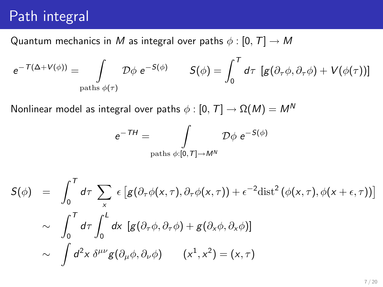### Path integral

Quantum mechanics in M as integral over paths  $\phi : [0, T] \rightarrow M$ 

$$
e^{-T(\Delta + V(\phi))} = \int_{\text{paths } \phi(\tau)} \mathcal{D}\phi \ e^{-S(\phi)} \qquad S(\phi) = \int_0^T d\tau \ [g(\partial_\tau \phi, \partial_\tau \phi) + V(\phi(\tau))]
$$

Nonlinear model as integral over paths  $\phi : [0, T] \rightarrow \Omega(M) = M^N$ 

$$
e^{-TH} = \int\limits_{\text{paths } \phi:[0,T] \to M^N} \mathcal{D}\phi \ e^{-S(\phi)}
$$

$$
S(\phi) = \int_0^T d\tau \sum_x \epsilon [g(\partial_\tau \phi(x,\tau), \partial_\tau \phi(x,\tau)) + \epsilon^{-2} \text{dist}^2 (\phi(x,\tau), \phi(x+\epsilon,\tau))]
$$
  
\$\sim \int\_0^T d\tau \int\_0^L dx [g(\partial\_\tau \phi, \partial\_\tau \phi) + g(\partial\_x \phi, \partial\_x \phi)]\$  
\$\sim \int d^2x \delta^{\mu\nu} g(\partial\_\mu \phi, \partial\_\nu \phi) \quad (x^1, x^2) = (x, \tau)\$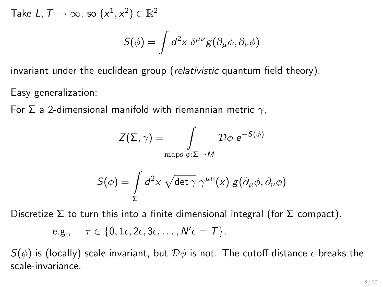Take  $L, T \rightarrow \infty$ , so  $(x^1, x^2) \in \mathbb{R}^2$ 

$$
S(\phi) = \int d^2x \; \delta^{\mu\nu} g(\partial_\mu \phi, \partial_\nu \phi)
$$

invariant under the euclidean group (relativistic quantum field theory).

Easy generalization:

For Σ a 2-dimensional manifold with riemannian metric  $γ$ ,

$$
Z(\Sigma,\gamma)=\int\limits_{\text{maps }\phi:\Sigma\to M}\mathcal{D}\phi\ e^{-S(\phi)}
$$

$$
S(\phi) = \int\limits_{\Sigma} d^2x \, \sqrt{\det \gamma} \, \gamma^{\mu\nu}(x) \, g(\partial_{\mu}\phi, \partial_{\nu}\phi)
$$

Discretize  $\Sigma$  to turn this into a finite dimensional integral (for  $\Sigma$  compact).

$$
\text{e.g.,}\quad \tau\in\{0,1\epsilon,2\epsilon,3\epsilon,\ldots,N'\epsilon= T\}.
$$

 $S(\phi)$  is (locally) scale-invariant, but  $\mathcal{D}\phi$  is not. The cutoff distance  $\epsilon$  breaks the scale-invariance.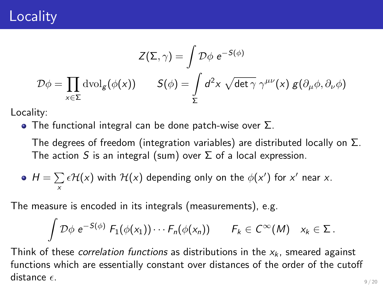## **Locality**

$$
Z(\Sigma, \gamma) = \int \mathcal{D}\phi \ e^{-S(\phi)}
$$

$$
\mathcal{D}\phi = \prod_{x \in \Sigma} \text{dvol}_g(\phi(x)) \qquad S(\phi) = \int_{\Sigma} d^2x \ \sqrt{\det \gamma} \ \gamma^{\mu\nu}(x) \ g(\partial_{\mu}\phi, \partial_{\nu}\phi)
$$

Locality:

**•** The functional integral can be done patch-wise over  $\Sigma$ .

The degrees of freedom (integration variables) are distributed locally on  $\Sigma$ . The action S is an integral (sum) over  $\Sigma$  of a local expression.

• 
$$
H = \sum_{x} \epsilon \mathcal{H}(x)
$$
 with  $\mathcal{H}(x)$  depending only on the  $\phi(x')$  for x' near x.

The measure is encoded in its integrals (measurements), e.g.

$$
\int {\cal D}\phi \; e^{-S(\phi)} \; F_1(\phi(x_1)) \cdots F_n(\phi(x_n)) \qquad F_k \in C^\infty(M) \quad x_k \in \Sigma \, .
$$

Think of these *correlation functions* as distributions in the  $x_k$ , smeared against functions which are essentially constant over distances of the order of the cutoff distance  $\epsilon$ .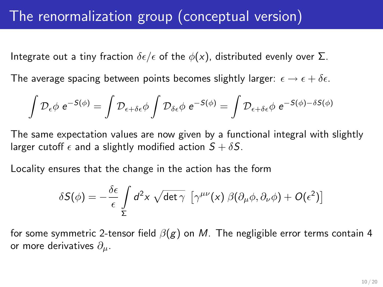Integrate out a tiny fraction  $\delta \epsilon / \epsilon$  of the  $\phi(x)$ , distributed evenly over  $\Sigma$ .

The average spacing between points becomes slightly larger:  $\epsilon \to \epsilon + \delta \epsilon$ .

$$
\int \mathcal{D}_{\epsilon} \phi \ e^{-S(\phi)} = \int \mathcal{D}_{\epsilon + \delta \epsilon} \phi \int \mathcal{D}_{\delta \epsilon} \phi \ e^{-S(\phi)} = \int \mathcal{D}_{\epsilon + \delta \epsilon} \phi \ e^{-S(\phi) - \delta S(\phi)}
$$

The same expectation values are now given by a functional integral with slightly larger cutoff  $\epsilon$  and a slightly modified action  $S + \delta S$ .

Locality ensures that the change in the action has the form

$$
\delta S(\phi) = -\frac{\delta \epsilon}{\epsilon} \int\limits_{\Sigma} d^2x \, \sqrt{\det \gamma} \, \left[ \gamma^{\mu\nu}(x) \, \beta(\partial_{\mu}\phi, \partial_{\nu}\phi) + O(\epsilon^2) \right]
$$

for some symmetric 2-tensor field  $\beta(g)$  on M. The negligible error terms contain 4 or more derivatives  $\partial_{\mu}$ .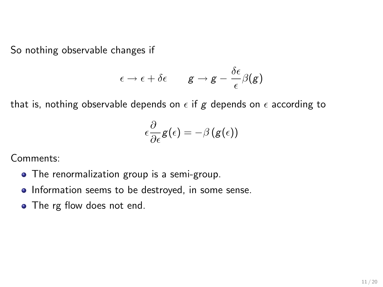So nothing observable changes if

$$
\epsilon \to \epsilon + \delta \epsilon \qquad \mathbf{g} \to \mathbf{g} - \frac{\delta \epsilon}{\epsilon} \beta(\mathbf{g})
$$

that is, nothing observable depends on  $\epsilon$  if g depends on  $\epsilon$  according to

$$
\epsilon\frac{\partial}{\partial\epsilon} \textbf{\textit{g}}(\epsilon) = -\beta\left(\textbf{\textit{g}}(\epsilon)\right)
$$

Comments:

- The renormalization group is a semi-group.
- Information seems to be destroyed, in some sense.
- The rg flow does not end.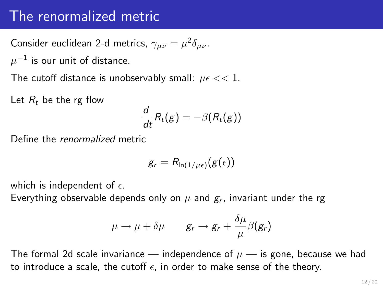#### The renormalized metric

Consider euclidean 2-d metrics,  $\gamma_{\mu\nu} = \mu^2 \delta_{\mu\nu}$ .

 $\mu^{-1}$  is our unit of distance.

The cutoff distance is unobservably small:  $\mu \epsilon << 1$ .

Let  $R_t$  be the rg flow

$$
\frac{d}{dt}R_t(g)=-\beta(R_t(g))
$$

Define the renormalized metric

$$
g_r = R_{\ln(1/\mu\epsilon)}(g(\epsilon))
$$

which is independent of  $\epsilon$ .

Everything observable depends only on  $\mu$  and  $\bm{g}_r$ , invariant under the rg

$$
\mu \to \mu + \delta \mu \qquad g_r \to g_r + \frac{\delta \mu}{\mu} \beta(g_r)
$$

The formal 2d scale invariance — independence of  $\mu$  — is gone, because we had to introduce a scale, the cutoff  $\epsilon$ , in order to make sense of the theory.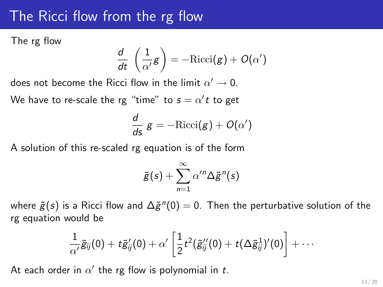#### The Ricci flow from the rg flow

The rg flow

$$
\frac{d}{dt}\,\left(\frac{1}{\alpha'}{\texttt{g}}\right)=-\mathrm{Ricci}({\texttt{g}})+O(\alpha')
$$

does not become the Ricci flow in the limit  $\alpha' \rightarrow 0$ .

We have to re-scale the rg "time" to  $s = \alpha' t$  to get

$$
\frac{d}{ds} g = -\text{Ricci}(g) + O(\alpha')
$$

A solution of this re-scaled rg equation is of the form

$$
\tilde{g}(s) + \sum_{n=1}^{\infty} \alpha'^n \Delta \tilde{g}^n(s)
$$

where  $\tilde{g}(s)$  is a Ricci flow and  $\Delta \tilde{g}^n(0)=0.$  Then the perturbative solution of the rg equation would be

$$
\frac{1}{\alpha'}\tilde{g}_{ij}(0)+t\tilde{g}_{ij}'(0)+\alpha'\left[\frac{1}{2}t^2(\tilde{g}_{ij}''(0)+t(\Delta\tilde{g}_{ij}^1)'(0)\right]+\cdots
$$

At each order in  $\alpha'$  the rg flow is polynomial in t.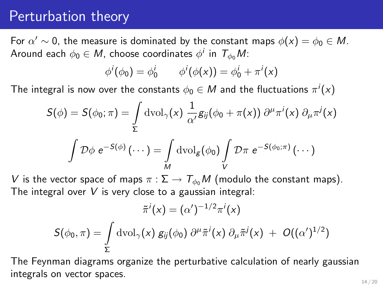#### Perturbation theory

For  $\alpha' \sim 0$ , the measure is dominated by the constant maps  $\phi(x) = \phi_0 \in M$ . Around each  $\phi_0 \in M$ , choose coordinates  $\phi^i$  in  $\mathcal{T}_{\phi_0}M$ :

$$
\phi^i(\phi_0) = \phi_0^i
$$
  $\phi^i(\phi(x)) = \phi_0^i + \pi^i(x)$ 

The integral is now over the constants  $\phi_0 \in M$  and the fluctuations  $\pi^i(x)$ 

$$
S(\phi) = S(\phi_0; \pi) = \int_{\Sigma} \mathrm{dvol}_{\gamma}(x) \frac{1}{\alpha'} g_{ij}(\phi_0 + \pi(x)) \partial^{\mu} \pi^{i}(x) \partial_{\mu} \pi^{j}(x)
$$

$$
\int \mathcal{D}\phi \ e^{-S(\phi)}(\cdots) = \int_{M} \mathrm{dvol}_{g}(\phi_0) \int_{V} \mathcal{D}\pi \ e^{-S(\phi_0; \pi)}(\cdots)
$$

V is the vector space of maps  $\pi : \Sigma \to T_{\phi_0}M$  (modulo the constant maps). The integral over  $V$  is very close to a gaussian integral:

$$
\tilde{\pi}^i(x) = (\alpha')^{-1/2} \pi^i(x)
$$
  

$$
S(\phi_0, \pi) = \int\limits_{\Sigma} \mathrm{dvol}_{\gamma}(x) g_{ij}(\phi_0) \, \partial^{\mu} \tilde{\pi}^i(x) \, \partial_{\mu} \tilde{\pi}^j(x) + O((\alpha')^{1/2})
$$

The Feynman diagrams organize the perturbative calculation of nearly gaussian integrals on vector spaces.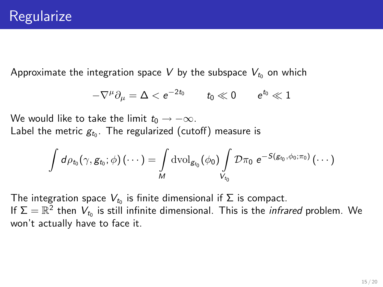Approximate the integration space V by the subspace  $V_{t_0}$  on which

$$
-\nabla^{\mu}\partial_{\mu} = \Delta < e^{-2t_0} \qquad t_0 \ll 0 \qquad e^{t_0} \ll 1
$$

We would like to take the limit  $t_0 \rightarrow -\infty$ . Label the metric  $g_{t_0}.$  The regularized (cutoff) measure is

$$
\int d\rho_{t_0}(\gamma, g_{t_0};\phi) \,(\cdots)=\int\limits_{M} \mathrm{dvol}_{g_{t_0}}(\phi_0) \int\limits_{V_{t_0}} \mathcal{D} \pi_0 \,\, e^{-S(g_{t_0}, \phi_0; \pi_0)} \,(\cdots)
$$

The integration space  $V_{t_0}$  is finite dimensional if  $\Sigma$  is compact. If  $\Sigma=\mathbb{R}^2$  then  $V_{t_0}$  is still infinite dimensional. This is the *infrared* problem. We won't actually have to face it.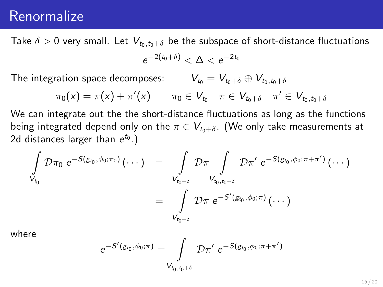#### Renormalize

Take  $\delta > 0$  very small. Let  $V_{t_0,t_0+\delta}$  be the subspace of short-distance fluctuations

$$
e^{-2(t_0+\delta)}<\Delta
$$

The integration space decomposes:  $V_{t_0} = V_{t_0+\delta} \oplus V_{t_0,t_0+\delta}$ 

$$
\pi_0(x) = \pi(x) + \pi'(x) \qquad \pi_0 \in V_{t_0} \quad \pi \in V_{t_0 + \delta} \quad \pi' \in V_{t_0, t_0 + \delta}
$$

We can integrate out the the short-distance fluctuations as long as the functions being integrated depend only on the  $\pi \in V_{t_0+\delta}$ . (We only take measurements at 2d distances larger than  $e^{t_0}$ .)

$$
\begin{array}{lcl} \displaystyle \int\limits_{V_{t_0}} \mathcal{D} \pi_0 \; e^{-S(g_{t_0}, \phi_0; \pi_0)} \left( \cdots \right) & = & \displaystyle \int\limits_{V_{t_0 + \delta}} \mathcal{D} \pi \int\limits_{V_{t_0, t_0 + \delta}} \mathcal{D} \pi' \; e^{-S(g_{t_0}, \phi_0; \pi + \pi')} \left( \cdots \right) \\ \\ & = & \displaystyle \int\limits_{V_{t_0 + \delta}} \mathcal{D} \pi \; e^{-S'(g_{t_0}, \phi_0; \pi)} \left( \cdots \right) \end{array}
$$

where

$$
e^{-S'(g_{t_0},\phi_0;\pi)}=\int\limits_{V_{t_0,t_0+\delta}} \mathcal{D}\pi' \ e^{-S(g_{t_0},\phi_0;\pi+\pi')}
$$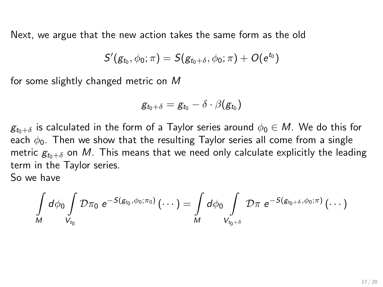Next, we argue that the new action takes the same form as the old

$$
S'(g_{t_0},\phi_0;\pi)=S(g_{t_0+\delta},\phi_0;\pi)+O(e^{t_0})
$$

for some slightly changed metric on M

$$
g_{t_0+\delta}=g_{t_0}-\delta\cdot\beta(g_{t_0})
$$

 $g_{t_0+\delta}$  is calculated in the form of a Taylor series around  $\phi_0 \in M$ . We do this for each  $\phi_0$ . Then we show that the resulting Taylor series all come from a single metric  $g_{t_0+\delta}$  on M. This means that we need only calculate explicitly the leading term in the Taylor series.

So we have

$$
\int\limits_{M} d\phi_0 \int\limits_{V_{t_0}} \mathcal{D} \pi_0 \ e^{-S(g_{t_0}, \phi_0; \pi_0)} \left( \cdots \right) = \int\limits_{M} d\phi_0 \int\limits_{V_{t_0 + \delta}} \mathcal{D} \pi \ e^{-S(g_{t_0 + \delta}, \phi_0; \pi)} \left( \cdots \right)
$$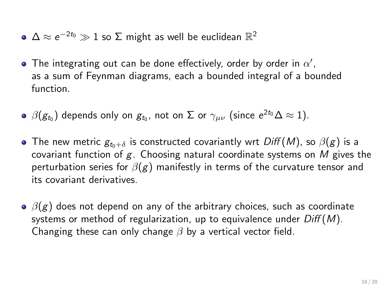- $\Delta \approx e^{-2t_0} \gg 1$  so  $\Sigma$  might as well be euclidean  $\mathbb{R}^2$
- The integrating out can be done effectively, order by order in  $\alpha'$ , as a sum of Feynman diagrams, each a bounded integral of a bounded function.
- $\beta(g_{t_0})$  depends only on  $g_{t_0}$ , not on  $\Sigma$  or  $\gamma_{\mu\nu}$  (since  $e^{2t_0}\Delta\approx 1$ ).
- The new metric  $g_{t_0+\delta}$  is constructed covariantly wrt Diff (M), so  $\beta(g)$  is a covariant function of  $g$ . Choosing natural coordinate systems on M gives the perturbation series for  $\beta(g)$  manifestly in terms of the curvature tensor and its covariant derivatives.
- $\Theta$   $\beta(g)$  does not depend on any of the arbitrary choices, such as coordinate systems or method of regularization, up to equivalence under  $Diff(M)$ . Changing these can only change  $\beta$  by a vertical vector field.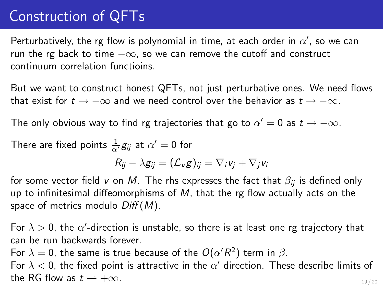# Construction of QFTs

Perturbatively, the rg flow is polynomial in time, at each order in  $\alpha'$ , so we can run the rg back to time  $-\infty$ , so we can remove the cutoff and construct continuum correlation functioins.

But we want to construct honest QFTs, not just perturbative ones. We need flows that exist for  $t \to -\infty$  and we need control over the behavior as  $t \to -\infty$ .

The only obvious way to find rg trajectories that go to  $\alpha'=0$  as  $t\to -\infty.$ 

There are fixed points  $\frac{1}{\alpha'} g_{ij}$  at  $\alpha' = 0$  for

$$
R_{ij} - \lambda g_{ij} = (\mathcal{L}_v g)_{ij} = \nabla_i v_j + \nabla_j v_i
$$

for some vector field v on M. The rhs expresses the fact that  $\beta_{ii}$  is defined only up to infinitesimal diffeomorphisms of  $M$ , that the rg flow actually acts on the space of metrics modulo  $Diff(M)$ .

For  $\lambda > 0$ , the  $\alpha'$ -direction is unstable, so there is at least one rg trajectory that can be run backwards forever.

For  $\lambda = 0$ , the same is true because of the  $O(\alpha'R^2)$  term in  $\beta$ .

For  $\lambda < 0$ , the fixed point is attractive in the  $\alpha'$  direction. These describe limits of the RG flow as  $t \rightarrow +\infty$ . 19 / 20